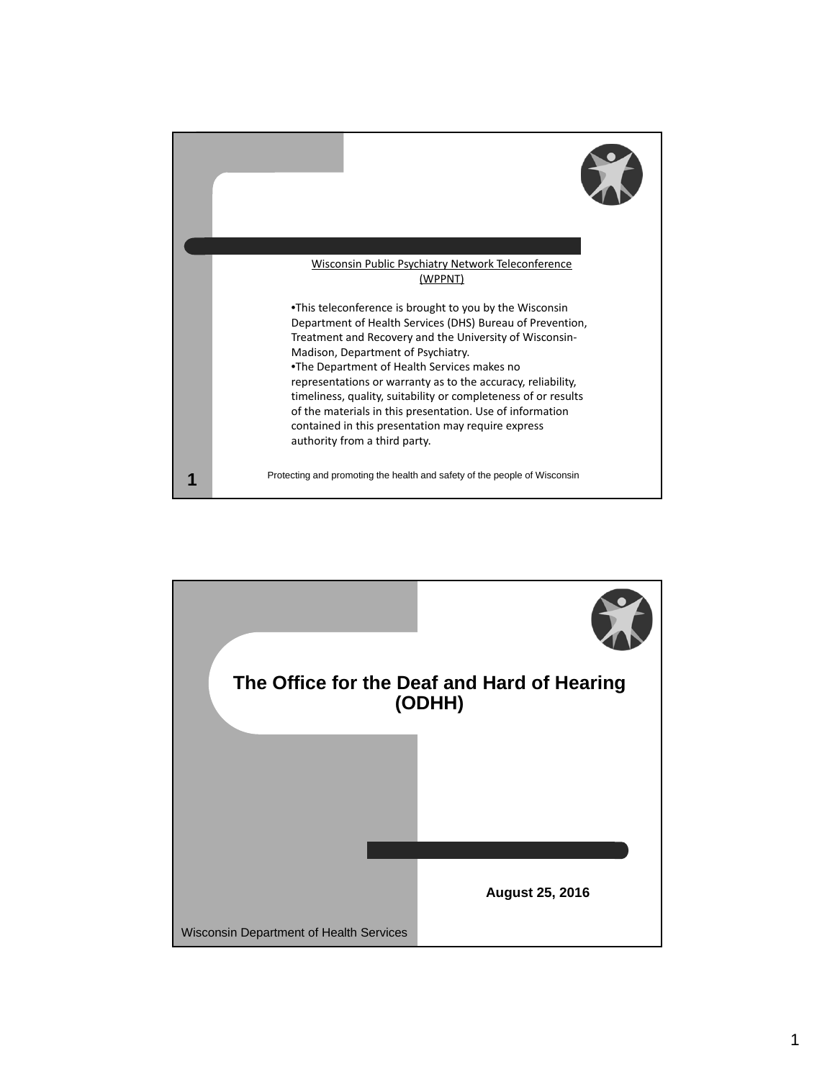

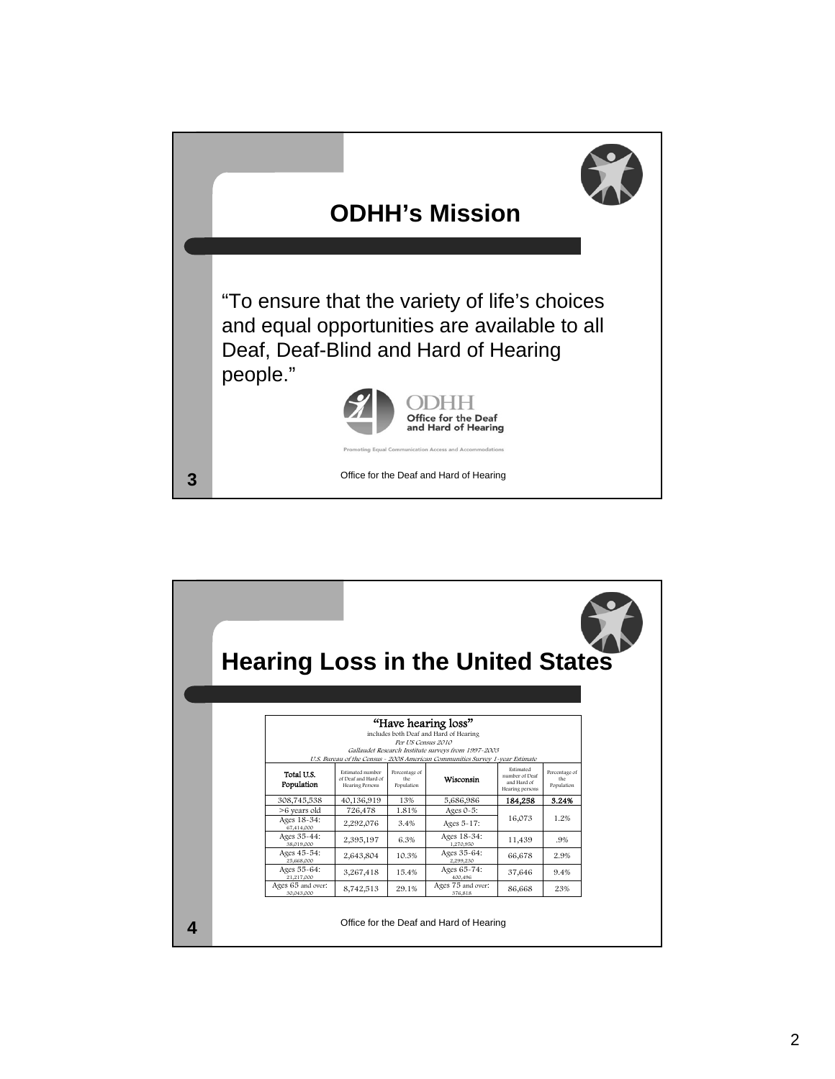

| <b>Hearing Loss in the United States</b>                                                                                                                                                                                   |                                                            |                                    |                                         |                                                               |                                    |  |
|----------------------------------------------------------------------------------------------------------------------------------------------------------------------------------------------------------------------------|------------------------------------------------------------|------------------------------------|-----------------------------------------|---------------------------------------------------------------|------------------------------------|--|
|                                                                                                                                                                                                                            |                                                            |                                    |                                         |                                                               |                                    |  |
| "Have hearing loss"<br>includes both Deaf and Hard of Hearing<br>Per US Census 2010<br>Gallaudet Research Institute surveys from 1997-2003<br>U.S. Bureau of the Census ~ 2008 American Communities Survey 1~year Estimate |                                                            |                                    |                                         |                                                               |                                    |  |
| Total U.S.<br>Population                                                                                                                                                                                                   | Estimated number<br>of Deaf and Hard of<br>Hearing Persons | Percentage of<br>the<br>Population | Wisconsin                               | Estimated<br>number of Deaf<br>and Hard of<br>Hearing persons | Percentage of<br>the<br>Population |  |
| 308,745,538                                                                                                                                                                                                                | 40,136,919                                                 | 13%                                | 5,686,986                               | 184,258                                                       | 3.24%                              |  |
| >6 years old                                                                                                                                                                                                               | 726,478                                                    | 1.81%                              | Ages $0-5$ :                            |                                                               |                                    |  |
| Ages 18-34:<br>67,414,000                                                                                                                                                                                                  | 2,292,076                                                  | 3.4%                               | Ages 5-17:                              | 16,073                                                        | 1.2%                               |  |
| Ages 35-44:<br>38,019,000                                                                                                                                                                                                  | 2,395,197                                                  | 6.3%                               | Ages 18-34:<br>1.270.950                | 11,439                                                        | .9%                                |  |
| Ages 45-54:<br>25,668,000                                                                                                                                                                                                  | 2,643,804                                                  | 10.3%                              | Ages 35-64:<br>2.299.230                | 66,678                                                        | 2.9%                               |  |
| Ages 55-64:<br>21,217,000                                                                                                                                                                                                  | 3,267,418                                                  | 15.4%                              | Ages 65-74:<br>400.496                  | 37,646                                                        | 9.4%                               |  |
| Ages 65 and over:<br>30.043.000                                                                                                                                                                                            | 8,742,513                                                  | 29.1%                              | Ages 75 and over:<br>376,818            | 86,668                                                        | 23%                                |  |
|                                                                                                                                                                                                                            |                                                            |                                    | Office for the Deaf and Hard of Hearing |                                                               |                                    |  |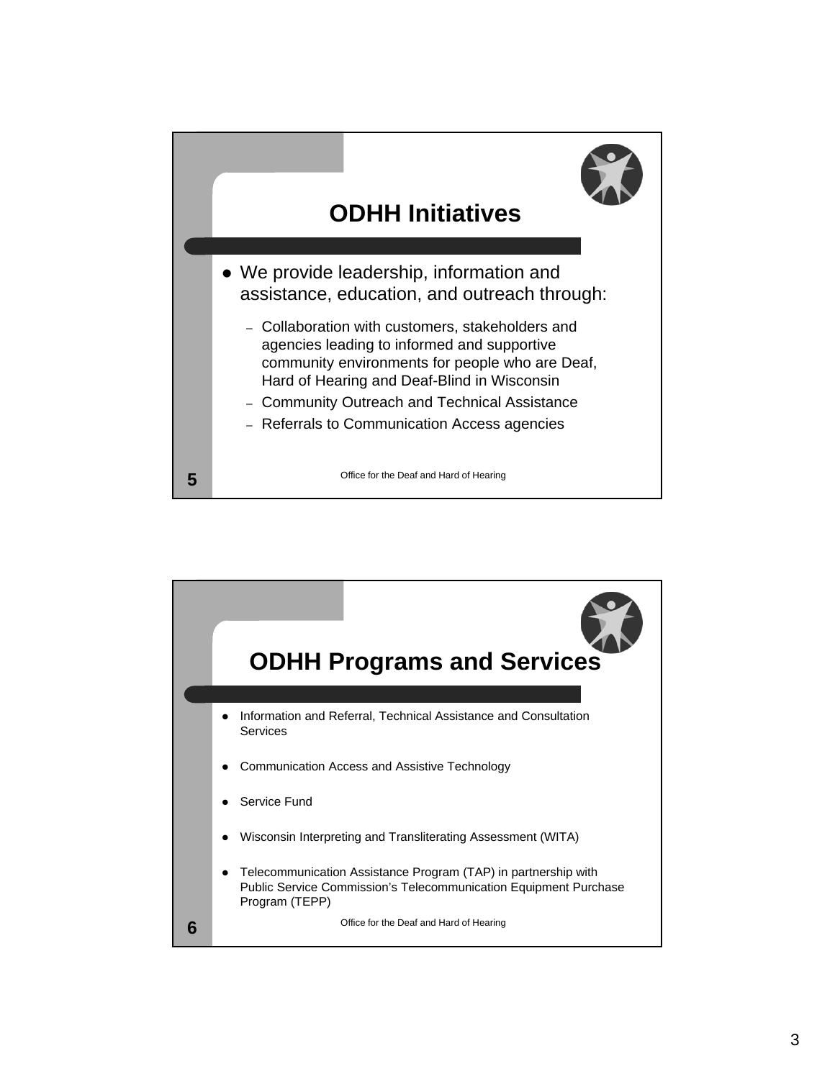

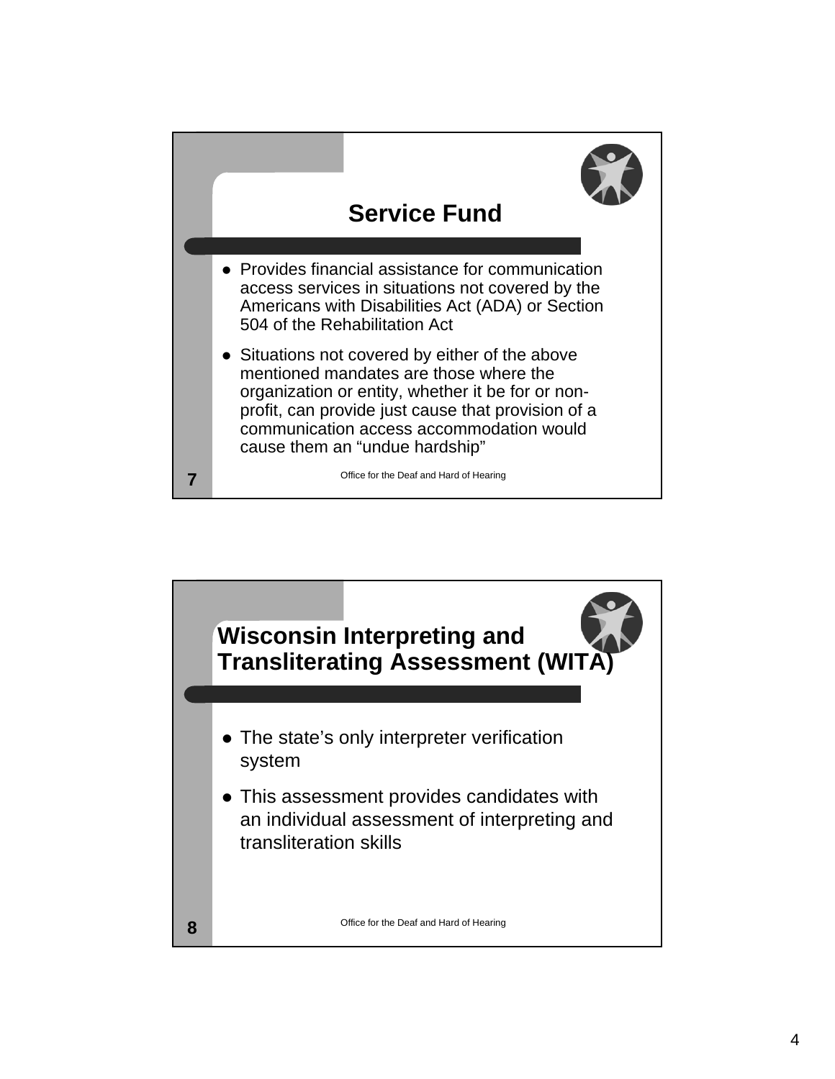

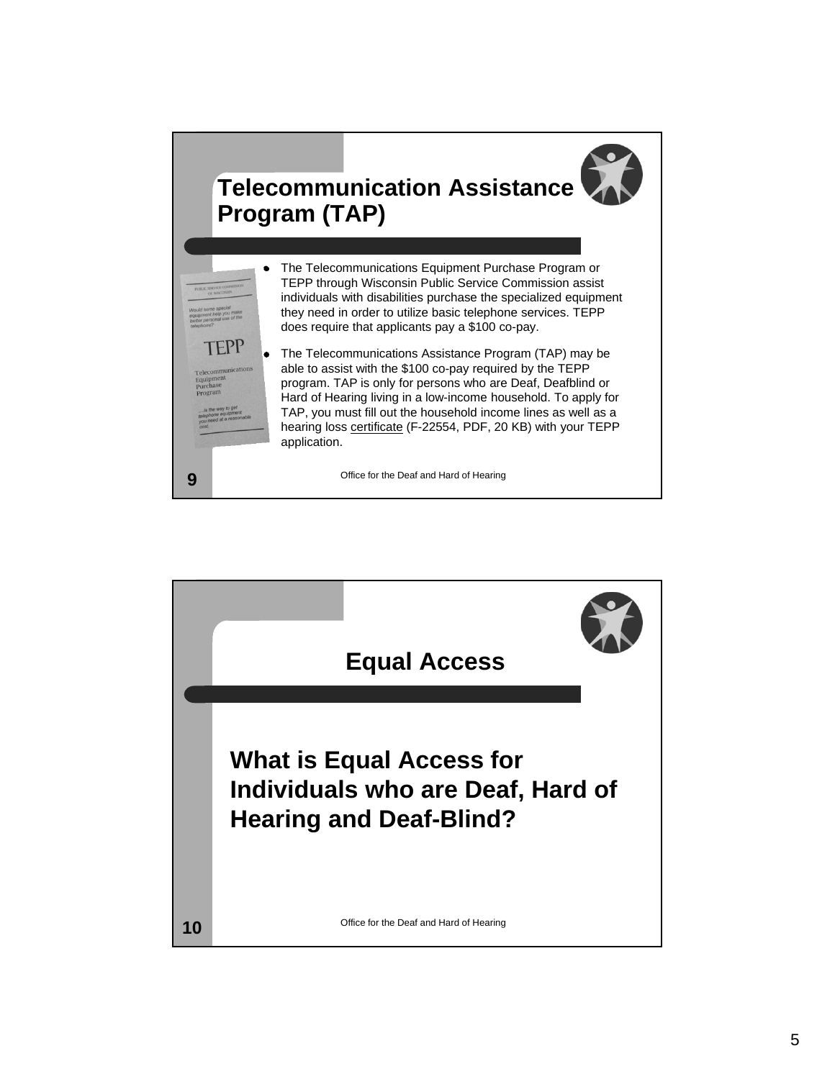

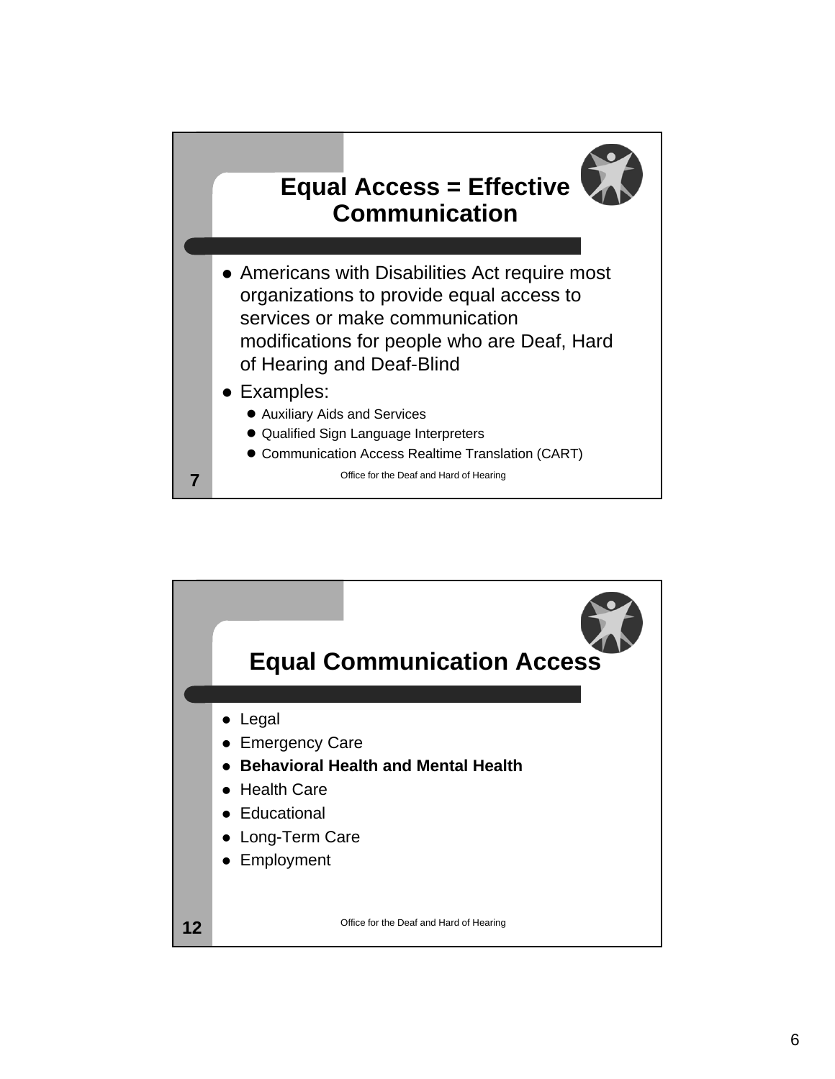

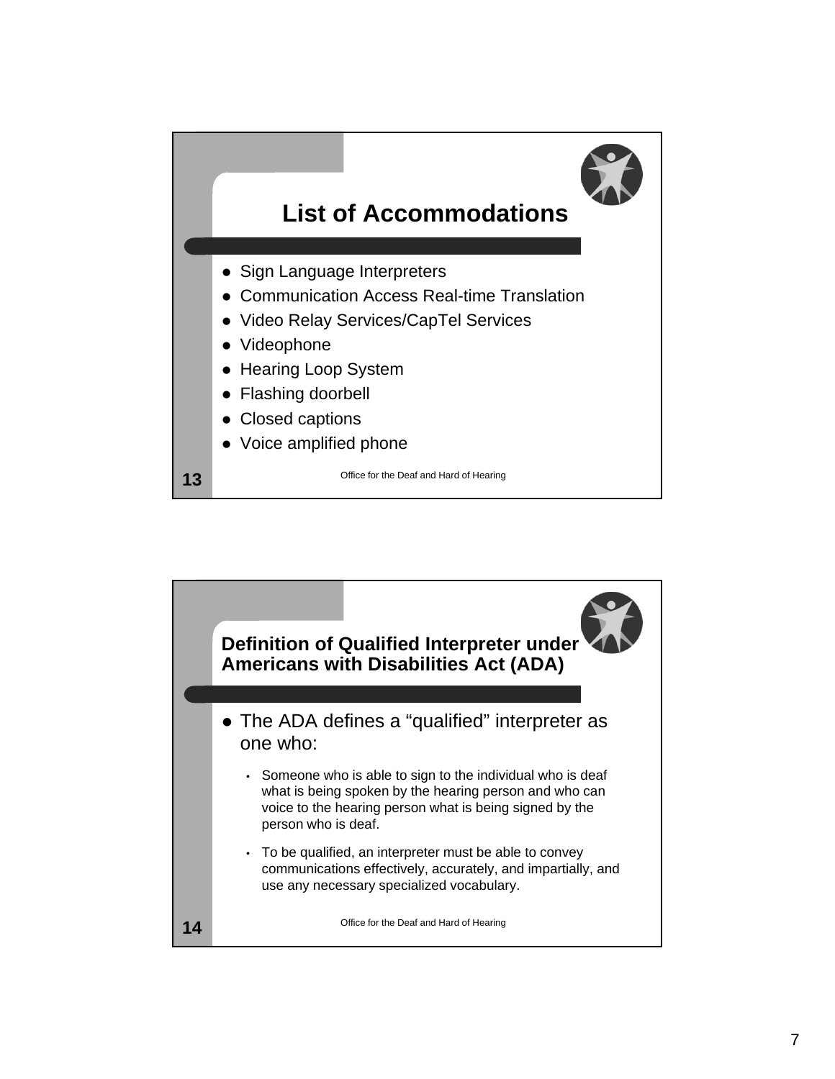

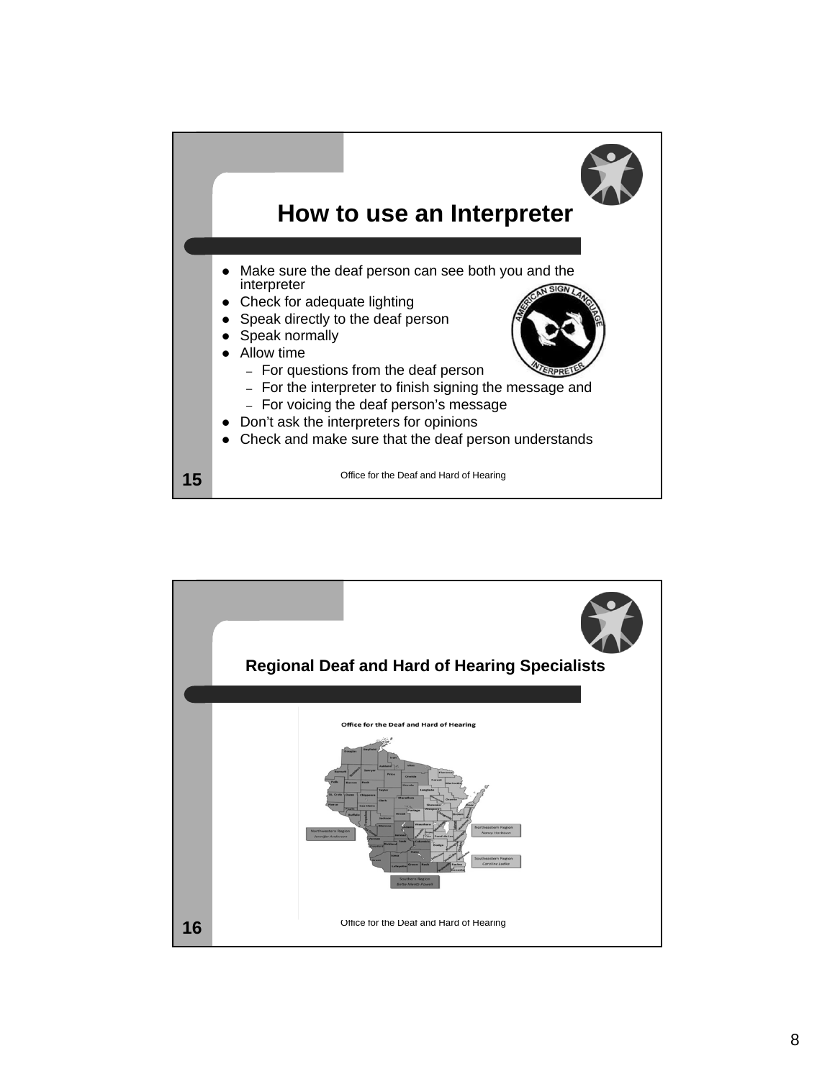

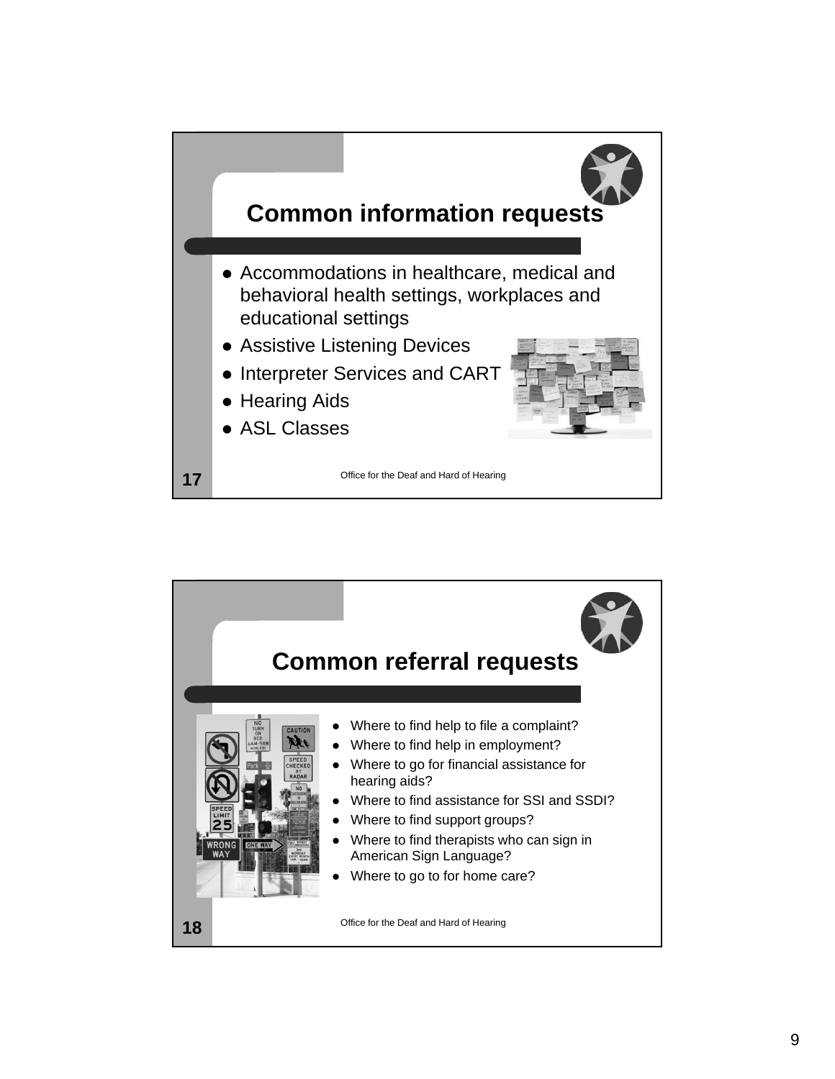

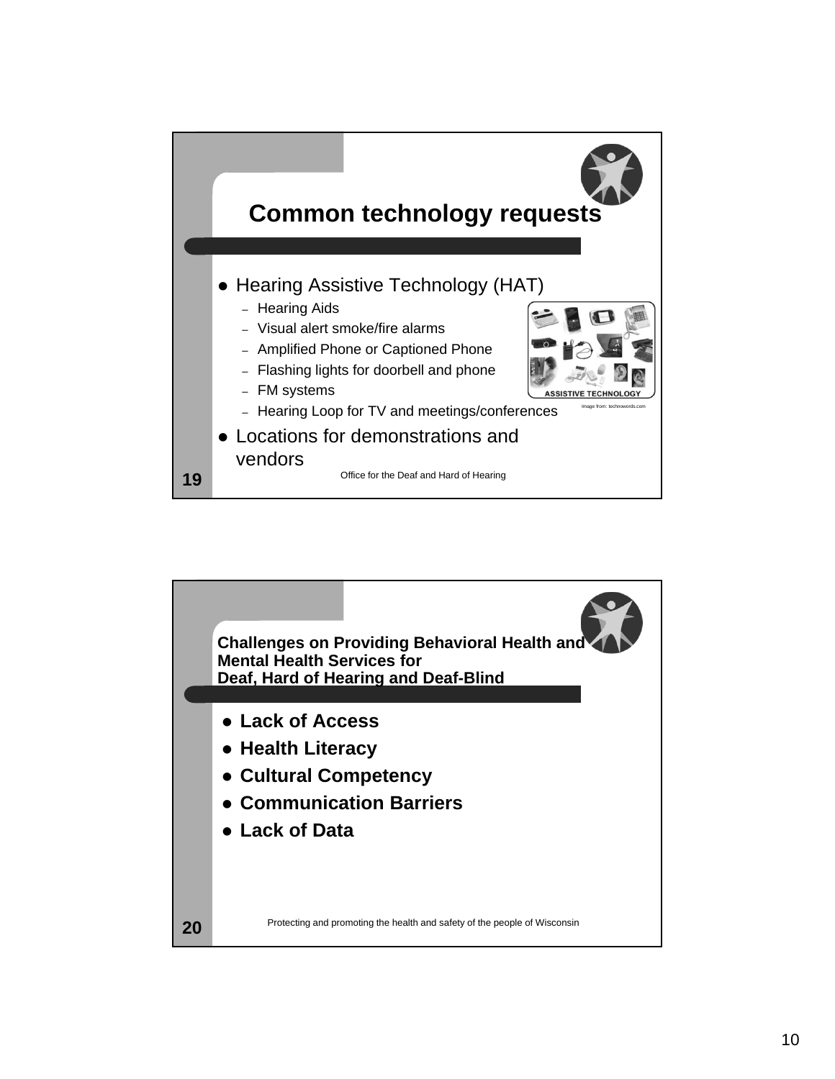

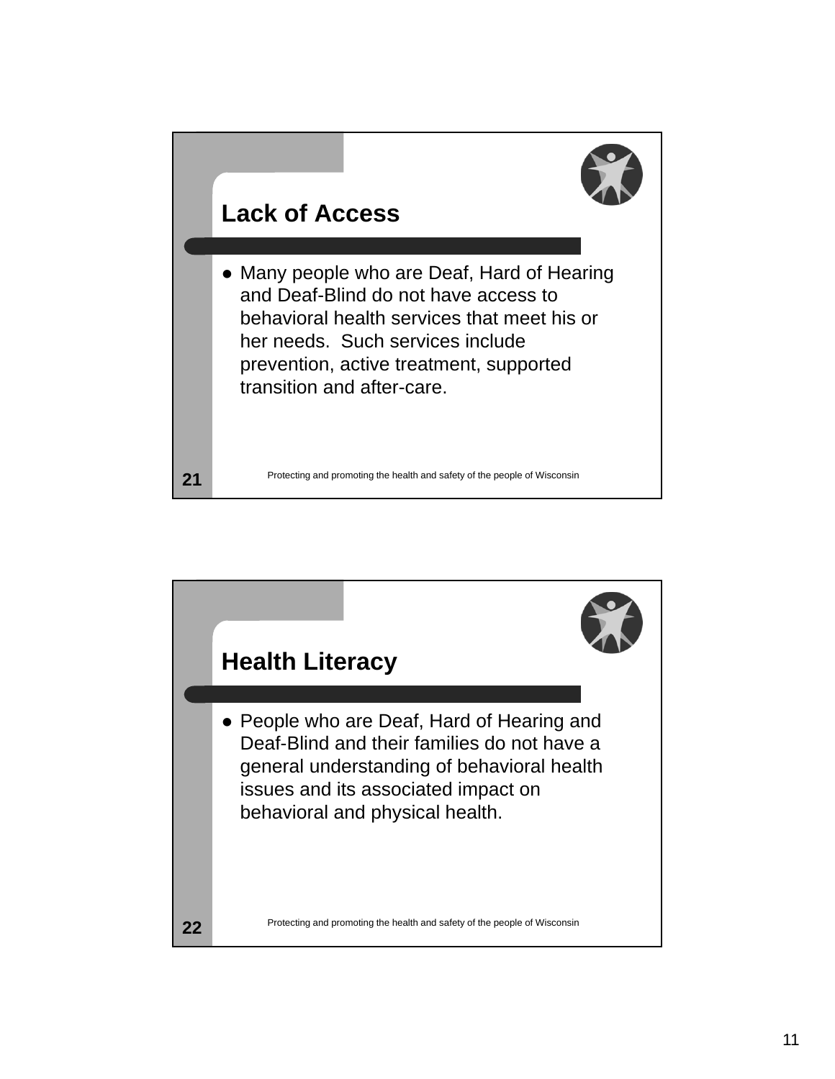

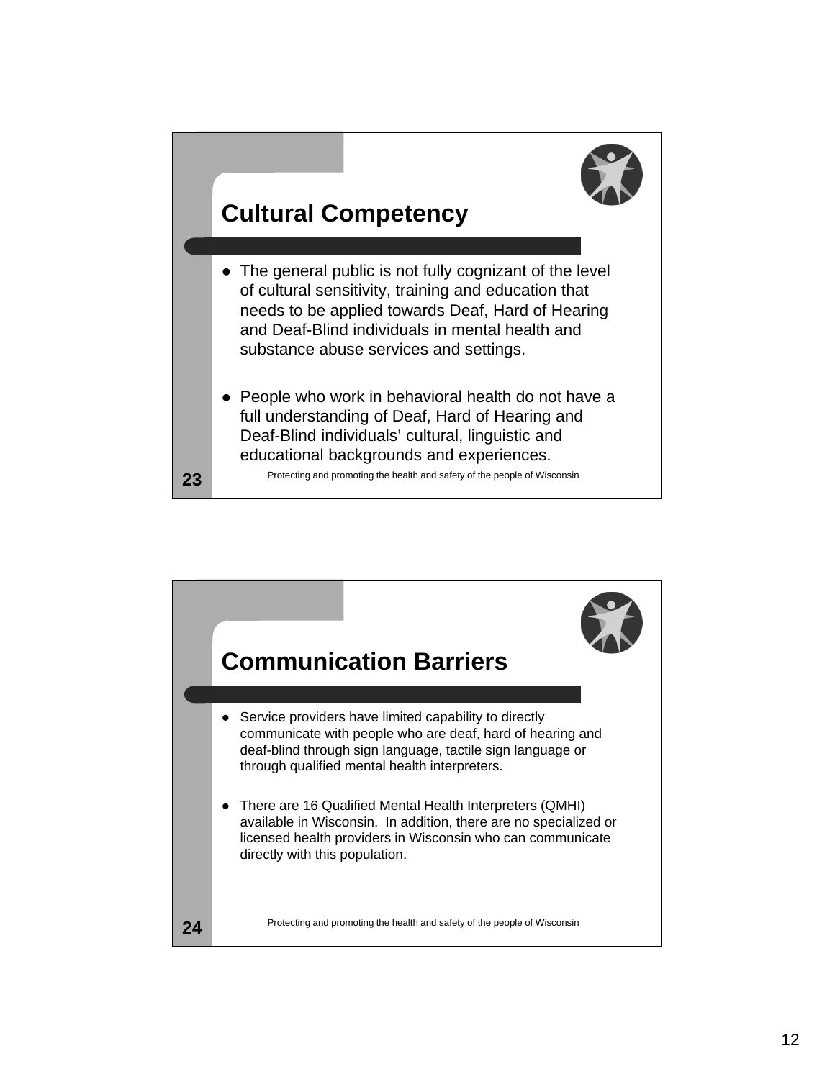

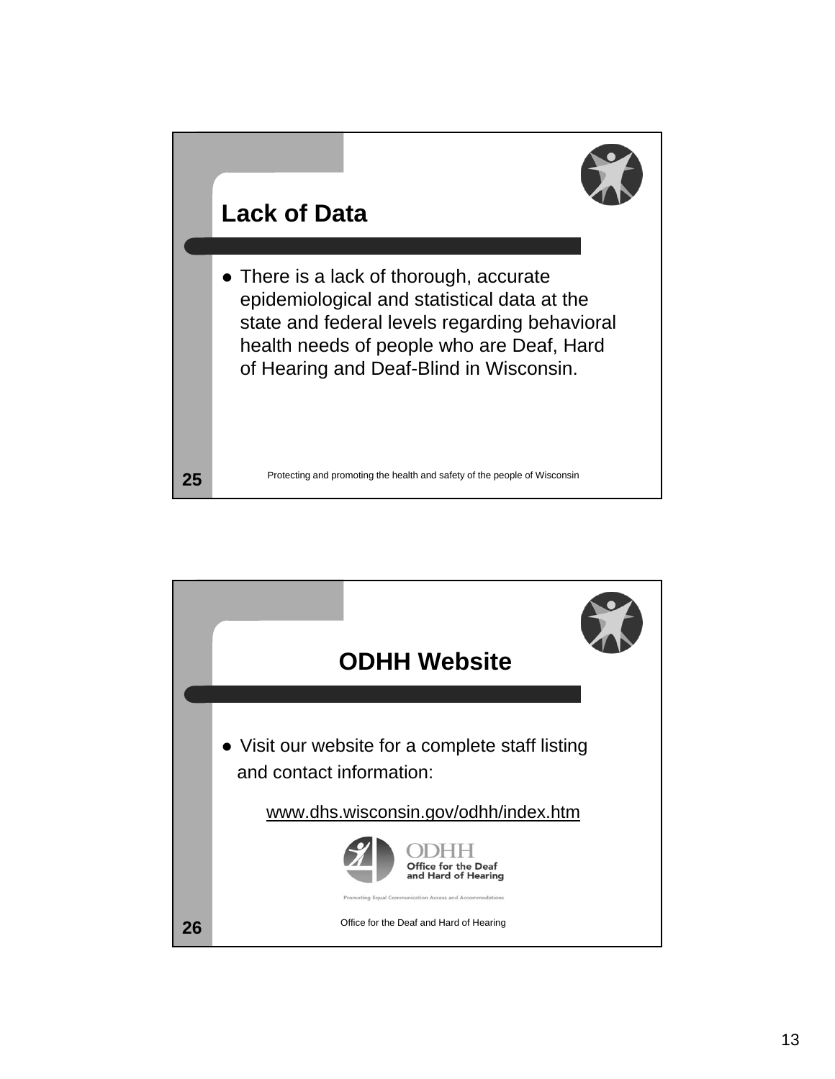